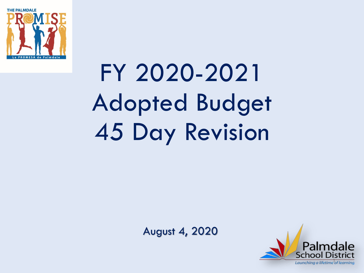

FY 2020-2021 Adopted Budget 45 Day Revision

August 4, 2020

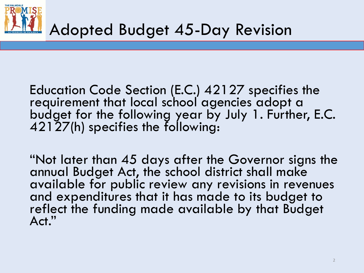

Education Code Section (E.C.) 42127 specifies the requirement that local school agencies adopt a budget for the following year by July 1. Further, E.C. 42127(h) specifies the following:

"Not later than 45 days after the Governor signs the annual Budget Act, the school district shall make available for public review any revisions in revenues and expenditures that it has made to its budget to reflect the funding made available by that Budget Act."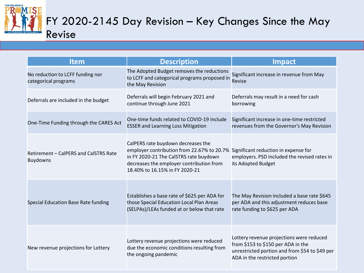

| <b>Item</b>                                              | <b>Description</b>                                                                                                                                                                                       | <b>Impact</b>                                                                                                                                                     |  |  |  |
|----------------------------------------------------------|----------------------------------------------------------------------------------------------------------------------------------------------------------------------------------------------------------|-------------------------------------------------------------------------------------------------------------------------------------------------------------------|--|--|--|
| No reduction to LCFF funding nor<br>categorical programs | The Adopted Budget removes the reductions<br>to LCFF and categorical programs proposed in<br>the May Revision                                                                                            | Significant increase in revenue from May<br>Revise                                                                                                                |  |  |  |
| Deferrals are included in the budget                     | Deferrals will begin February 2021 and<br>continue through June 2021                                                                                                                                     | Deferrals may result in a need for cash<br>borrowing                                                                                                              |  |  |  |
| One-Time Funding through the CARES Act                   | One-time funds related to COVID-19 include<br><b>ESSER and Learning Loss Mitigation</b>                                                                                                                  | Significant increase in one-time restricted<br>revenues from the Governor's May Revision                                                                          |  |  |  |
| Retirement - CalPERS and CalSTRS Rate<br><b>Buydowns</b> | CalPERS rate buydown decreases the<br>employer contribution from 22.67% to 20.7%<br>in FY 2020-21 The CalSTRS rate buydown<br>decreases the employer contribution from<br>18.40% to 16.15% in FY 2020-21 | Significant reduction in expense for<br>employers. PSD included the revised rates in<br>its Adopted Budget                                                        |  |  |  |
| Special Education Base Rate funding                      | Establishes a base rate of \$625 per ADA for<br>those Special Education Local Plan Areas<br>(SELPAs)/LEAs funded at or below that rate                                                                   | The May Revision included a base rate \$645<br>per ADA and this adjustment reduces base<br>rate funding to \$625 per ADA                                          |  |  |  |
| New revenue projections for Lottery                      | Lottery revenue projections were reduced<br>due the economic conditions resulting from<br>the ongoing pandemic                                                                                           | Lottery revenue projections were reduced<br>from \$153 to \$150 per ADA in the<br>unrestricted portion and from \$54 to \$49 per<br>ADA in the restricted portion |  |  |  |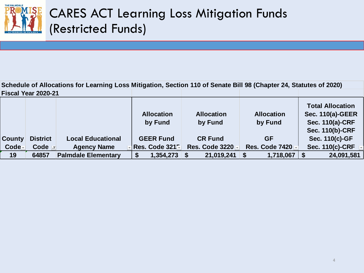

**Schedule of Allocations for Learning Loss Mitigation, Section 110 of Senate Bill 98 (Chapter 24, Statutes of 2020)** 

|               | Fiscal Year 2020-21 |                            |                              |                              |                              |                                                                                          |
|---------------|---------------------|----------------------------|------------------------------|------------------------------|------------------------------|------------------------------------------------------------------------------------------|
|               |                     |                            | <b>Allocation</b><br>by Fund | <b>Allocation</b><br>by Fund | <b>Allocation</b><br>by Fund | <b>Total Allocation</b><br><b>Sec. 110(a)-GEER</b><br>Sec. 110(a)-CRF<br>Sec. 110(b)-CRF |
| <b>County</b> | <b>District</b>     | <b>Local Educational</b>   | <b>GEER Fund</b>             | <b>CR Fund</b>               | <b>GF</b>                    | Sec. 110(c)-GF                                                                           |
| Code-         | Code   T            | <b>Agency Name</b>         | - Res. Code 321⊡             | <b>Res. Code 3220</b>        | <b>Res. Code 7420</b>        | <b>Sec. 110(c)-CRF</b>                                                                   |
| 19            | 64857               | <b>Palmdale Elementary</b> | 1,354,273                    | 21,019,241                   | 1,718,067                    | 24,091,581                                                                               |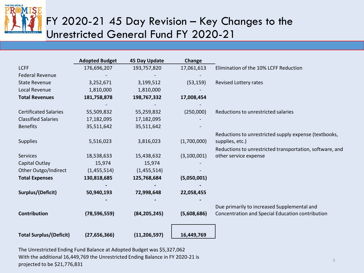

#### FY 2020-21 45 Day Revision – Key Changes to the Unrestricted General Fund FY 2020-21

|                                | <b>Adopted Budget</b> | <b>45 Day Update</b> | Change      |                                                          |
|--------------------------------|-----------------------|----------------------|-------------|----------------------------------------------------------|
| <b>LCFF</b>                    | 176,696,207           | 193,757,820          | 17,061,613  | Elimination of the 10% LCFF Reduction                    |
| <b>Federal Revenue</b>         |                       |                      |             |                                                          |
| <b>State Revenue</b>           | 3,252,671             | 3,199,512            | (53, 159)   | Revised Lottery rates                                    |
| Local Revenue                  | 1,810,000             | 1,810,000            |             |                                                          |
| <b>Total Revenues</b>          | 181,758,878           | 198,767,332          | 17,008,454  |                                                          |
|                                |                       |                      |             |                                                          |
| <b>Certificated Salaries</b>   | 55,509,832            | 55,259,832           | (250,000)   | Reductions to unrestricted salaries                      |
| <b>Classified Salaries</b>     | 17,182,095            | 17,182,095           |             |                                                          |
| <b>Benefits</b>                | 35,511,642            | 35,511,642           |             |                                                          |
|                                |                       |                      |             | Reductions to unrestricted supply expense (textbooks,    |
| <b>Supplies</b>                | 5,516,023             | 3,816,023            | (1,700,000) | supplies, etc.)                                          |
|                                |                       |                      |             | Reductions to unrestricted transportation, software, and |
| <b>Services</b>                | 18,538,633            | 15,438,632           | (3,100,001) | other service expense                                    |
| Capital Outlay                 | 15,974                | 15,974               |             |                                                          |
| Other Outgo/Indirect           | (1,455,514)           | (1,455,514)          |             |                                                          |
| <b>Total Expenses</b>          | 130,818,685           | 125,768,684          | (5,050,001) |                                                          |
|                                |                       |                      |             |                                                          |
| Surplus/(Deficit)              | 50,940,193            | 72,998,648           | 22,058,455  |                                                          |
|                                |                       |                      |             | Due primarily to increased Supplemental and              |
| <b>Contribution</b>            | (78, 596, 559)        | (84, 205, 245)       | (5,608,686) | Concentration and Special Education contribution         |
|                                |                       |                      |             |                                                          |
|                                |                       |                      |             |                                                          |
| <b>Total Surplus/(Deficit)</b> | (27, 656, 366)        | (11, 206, 597)       | 16,449,769  |                                                          |

The Unrestricted Ending Fund Balance at Adopted Budget was \$5,327,062 With the additional 16,449,769 the Unrestricted Ending Balance in FY 2020-21 is projected to be \$21,776,831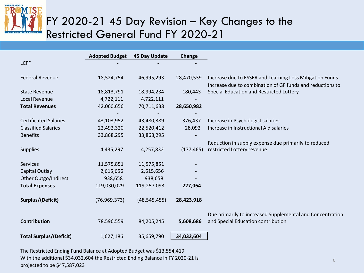

#### FY 2020-21 45 Day Revision – Key Changes to the Restricted General Fund FY 2020-21

|                                | <b>Adopted Budget</b> | 45 Day Update  | Change     |                                                           |
|--------------------------------|-----------------------|----------------|------------|-----------------------------------------------------------|
| <b>LCFF</b>                    |                       |                |            |                                                           |
| <b>Federal Revenue</b>         | 18,524,754            | 46,995,293     | 28,470,539 | Increase due to ESSER and Learning Loss Mitigation Funds  |
|                                |                       |                |            | Increase due to combination of GF funds and reductions to |
| <b>State Revenue</b>           | 18,813,791            | 18,994,234     | 180,443    | Special Education and Restricted Lottery                  |
| Local Revenue                  | 4,722,111             | 4,722,111      |            |                                                           |
| <b>Total Revenues</b>          | 42,060,656            | 70,711,638     | 28,650,982 |                                                           |
|                                |                       |                |            |                                                           |
| <b>Certificated Salaries</b>   | 43,103,952            | 43,480,389     | 376,437    | Increase in Psychologist salaries                         |
| <b>Classified Salaries</b>     | 22,492,320            | 22,520,412     | 28,092     | Increase in Instructional Aid salaries                    |
| <b>Benefits</b>                | 33,868,295            | 33,868,295     |            |                                                           |
|                                |                       |                |            | Reduction in supply expense due primarily to reduced      |
| <b>Supplies</b>                | 4,435,297             | 4,257,832      | (177, 465) | restricted Lottery revenue                                |
|                                |                       |                |            |                                                           |
| <b>Services</b>                | 11,575,851            | 11,575,851     |            |                                                           |
| Capital Outlay                 | 2,615,656             | 2,615,656      |            |                                                           |
| Other Outgo/Indirect           | 938,658               | 938,658        |            |                                                           |
| <b>Total Expenses</b>          | 119,030,029           | 119,257,093    | 227,064    |                                                           |
|                                |                       |                |            |                                                           |
| Surplus/(Deficit)              | (76, 969, 373)        | (48, 545, 455) | 28,423,918 |                                                           |
|                                |                       |                |            |                                                           |
|                                |                       |                |            | Due primarily to increased Supplemental and Concentration |
| <b>Contribution</b>            | 78,596,559            | 84,205,245     | 5,608,686  | and Special Education contribution                        |
|                                |                       |                |            |                                                           |
| <b>Total Surplus/(Deficit)</b> | 1,627,186             | 35,659,790     | 34,032,604 |                                                           |

The Restricted Ending Fund Balance at Adopted Budget was \$13,554,419 With the additional \$34,032,604 the Restricted Ending Balance in FY 2020-21 is projected to be \$47,587,023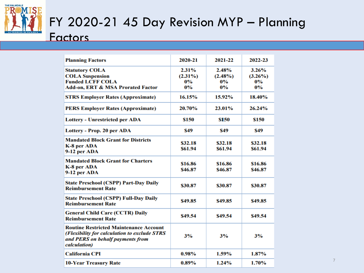

### FY 2020-21 45 Day Revision MYP – Planning

#### **Factors**

| <b>Planning Factors</b>                                                                                                                           | 2020-21                                  | 2021-22                               | 2022-23                               |
|---------------------------------------------------------------------------------------------------------------------------------------------------|------------------------------------------|---------------------------------------|---------------------------------------|
| <b>Statutory COLA</b><br><b>COLA Suspension</b><br><b>Funded LCFF COLA</b><br>Add-on, ERT & MSA Prorated Factor                                   | $2.31\%$<br>$(2.31\%)$<br>$0\%$<br>$0\%$ | 2.48%<br>$(2.48\%)$<br>$0\%$<br>$0\%$ | 3.26%<br>$(3.26\%)$<br>$0\%$<br>$0\%$ |
| <b>STRS Employer Rates (Approximate)</b>                                                                                                          | 16.15%                                   | 15.92%                                | 18.40%                                |
| <b>PERS Employer Rates (Approximate)</b>                                                                                                          | 20.70%                                   | 23.01%                                | 26.24%                                |
| <b>Lottery - Unrestricted per ADA</b>                                                                                                             | \$150                                    | \$150                                 | \$150                                 |
| Lottery - Prop. 20 per ADA                                                                                                                        | \$49                                     | S49                                   | S49                                   |
| <b>Mandated Block Grant for Districts</b><br>K-8 per ADA<br>9-12 per ADA                                                                          | \$32.18<br>\$61.94                       | \$32.18<br>\$61.94                    | \$32.18<br>\$61.94                    |
| <b>Mandated Block Grant for Charters</b><br>K-8 per ADA<br>9-12 per ADA                                                                           | \$16.86<br>\$46.87                       | \$16.86<br>\$46.87                    | \$16.86<br>\$46.87                    |
| <b>State Preschool (CSPP) Part-Day Daily</b><br><b>Reimbursement Rate</b>                                                                         | \$30.87                                  | \$30.87                               | \$30.87                               |
| <b>State Preschool (CSPP) Full-Day Daily</b><br><b>Reimbursement Rate</b>                                                                         | \$49.85                                  | \$49.85                               | \$49.85                               |
| <b>General Child Care (CCTR) Daily</b><br><b>Reimbursement Rate</b>                                                                               | \$49.54                                  | \$49.54                               | \$49.54                               |
| <b>Routine Restricted Maintenance Account</b><br>(Flexibility for calculation to exclude STRS<br>and PERS on behalf payments from<br>calculation) | 3%                                       | 3%                                    | 3%                                    |
| <b>California CPI</b>                                                                                                                             | 0.98%                                    | 1.59%                                 | $1.87\%$                              |
| <b>10-Year Treasury Rate</b>                                                                                                                      | $0.89\%$                                 | 1.24%                                 | $1.70\%$                              |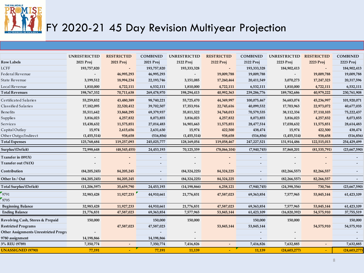

# FY 2020-21 45 Day Revision Multiyear Projection

|                                       | <b>UNRESTRICTED</b> | <b>RESTRICTED</b> | <b>COMBINED</b> | <b>UNRESTRICTED</b> | <b>RESTRICTED</b> | <b>COMBINED</b> | <b>UNRESTRICTED</b> | <b>RESTRICTED</b>        | <b>COMBINED</b> |
|---------------------------------------|---------------------|-------------------|-----------------|---------------------|-------------------|-----------------|---------------------|--------------------------|-----------------|
| <b>Row Labels</b>                     | 2021 Proj           | 2021 Proj         | 2021 Proj       | 2122 Proj           | 2122 Proj         | 2122 Proj       | 2223 Proj           | 2223 Proj                | 2223 Proj       |
| <b>LCFF</b>                           | 193,757,820         |                   | 193,757,820     | 193,333,328         |                   | 193,333,328     | 184,902,413         | $\overline{\phantom{a}}$ | 184,902,413     |
| Federal Revenue                       |                     | 46,995,293        | 46,995,293      |                     | 19,009,788        | 19,009,788      |                     | 19,009,788               | 19,009,788      |
| State Revenue                         | 3,199,512           | 18,994,234        | 22,193,746      | 3,151,085           | 17,260,464        | 20,411,549      | 3,070,273           | 17,247,323               | 20,317,596      |
| Local Revenue                         | 1,810,000           | 4,722,111         | 6,532,111       | 1,810,000           | 4,722,111         | 6,532,111       | 1,810,000           | 4,722,111                | 6,532,111       |
| <b>Total Revenues</b>                 | 198,767,332         | 70,711,638        | 269,478,970     | 198,294,413         | 40,992,363        | 239,286,776     | 189,782,686         | 40,979,222               | 230,761,908     |
| Certificated Salaries                 | 55,259,832          | 43,480,389        | 98,740,221      | 55,725,470          | 44,349,997        | 100,075,467     | 56,683,074          | 45,236,997               | 101,920,071     |
| Classified Salaries                   | 17,182,095          | 22,520,412        | 39,702,507      | 17,353,916          | 22,745,616        | 40,099,532      | 17,703,963          | 22,973,072               | 40,677,035      |
| <b>Benefits</b>                       | 35,511,642          | 33,868,295        | 69,379,937      | 35,811,522          | 34,768,013        | 70,579,535      | 38,112,334          | 37,110,103               | 75,222,437      |
| <b>Supplies</b>                       | 3,816,023           | 4,257,832         | 8,073,855       | 3,816,023           | 4,257,832         | 8,073,855       | 3,816,023           | 4,257,832                | 8,073,855       |
| Services                              | 15,438,632          | 11,575,851        | 27,014,483      | 16,901,663          | 11,575,851        | 28,477,514      | 17,038,632          | 11,575,851               | 28,614,483      |
| Capital Outlay                        | 15,974              | 2,615,656         | 2,631,630       | 15,974              | 422,500           | 438,474         | 15,974              | 422,500                  | 438,474         |
| Other Outgo/Indirect                  | (1,455,514)         | 938,658           | (516, 856)      | (1,455,514)         | 938,658           | (516, 856)      | (1,455,514)         | 938,658                  | (516, 856)      |
| <b>Total Expenses</b>                 | 125,768,684         | 119,257,093       | 245,025,777     | 128,169,054         | 119,058,467       | 247,227,521     | 131,914,486         | 122,515,013              | 254,429,499     |
| Surplus/(Deficit)                     | 72,998,648          | (48,545,455)      | 24,453,193      | 70,125,359          | (78,066,104)      | (7,940,745)     | 57,868,201          | (81, 535, 791)           | (23,667,590)    |
| Transfer in (891X)                    |                     |                   |                 |                     |                   |                 |                     |                          |                 |
| Transfer out (761X)                   |                     |                   |                 |                     |                   |                 |                     |                          |                 |
| Contribution                          | (84, 205, 245)      | 84,205,245        |                 | (84,324,225)        | 84,324,225        |                 | (82, 266, 557)      | 82,266,557               |                 |
| Other In / Out                        | (84, 205, 245)      | 84,205,245        |                 | (84,324,225)        | 84,324,225        |                 | (82, 266, 557)      | 82,266,557               |                 |
| Total Surplus/(Deficit)               | (11, 206, 597)      | 35,659,790        | 24,453,193      | (14, 198, 866)      | 6,258,121         | (7,940,745)     | (24, 398, 356)      | 730,766                  | (23,667,590)    |
| 9791                                  | 32,983,428          | 11,927,233        | 44,910,661      | 21,776,831          | 47,587,023        | 69,363,854      | 7,577,965           | 53,845,144               | 61,423,109      |
| 9795                                  |                     |                   |                 |                     |                   |                 |                     |                          |                 |
| <b>Beginning Balance</b>              | 32,983,428          | 11,927,233        | 44,910,661      | 21,776,831          | 47,587,023        | 69,363,854      | 7,577,965           | 53,845,144               | 61,423,109      |
| <b>Ending Balance</b>                 | 21,776,831          | 47,587,023        | 69,363,854      | 7,577,965           | 53,845,144        | 61,423,109      | (16,820,392)        | 54,575,910               | 37,755,519      |
| Revolving Cash, Stores & Prepaid      | 150,000             |                   | 150,000         | 150,000             |                   | 150,000         | 150,000             |                          | 150,000         |
| <b>Restricted Programs</b>            |                     | 47,587,023        | 47,587,023      |                     | 53,845,144        | 53,845,144      |                     | 54,575,910               | 54,575,910      |
| Other Assignments Unrestricted Progra |                     |                   |                 |                     |                   |                 |                     |                          |                 |
| 9780 assignment                       | 14,198,866          |                   | 14,198,866      |                     |                   |                 |                     |                          |                 |
| 3% REU (9789)                         | 7,350,774           |                   | 7,350,774       | 7,416,826           |                   | 7,416,826       | 7,632,885           | $\overline{\phantom{a}}$ | 7,632,885       |
| <b>UNASSIGNED (9790)</b>              | 77,191              |                   | 77,191          | 11,139              |                   | 11,139          | (24, 603, 277)      |                          | (24, 603, 277)  |
|                                       |                     |                   |                 |                     |                   |                 |                     |                          |                 |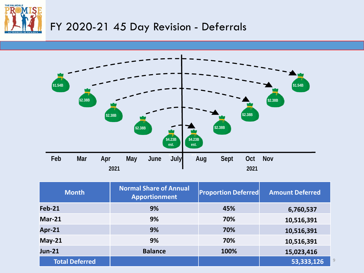



| <b>Month</b>          | <b>Normal Share of Annual</b><br><b>Apportionment</b> | <b>Proportion Deferred</b> | <b>Amount Deferred</b>   |
|-----------------------|-------------------------------------------------------|----------------------------|--------------------------|
| <b>Feb-21</b>         | 9%                                                    | 45%                        | 6,760,537                |
| <b>Mar-21</b>         | 9%                                                    | 70%                        | 10,516,391               |
| Apr-21                | 9%                                                    | 70%                        | 10,516,391               |
| $May-21$              | 9%                                                    | 70%                        | 10,516,391               |
| $Jun-21$              | <b>Balance</b>                                        | 100%                       | 15,023,416               |
| <b>Total Deferred</b> |                                                       |                            | $\overline{153,333,126}$ |

9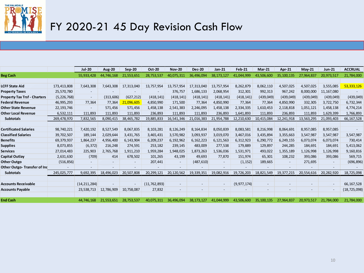

## FY 2020-21 45 Day Revision Cash Flow

|                                     |               | <b>Jul-20</b>            | Aug-20                   | Sep 20                   | <b>Oct 20</b>  | <b>Nov-20</b>            | <b>Dec-20</b> | Jan 21                   | <b>Feb 21</b> | <b>Mar-21</b>            | Apr-21                   | $May-21$                 | <b>Jun-21</b> | <b>ACCRUAL</b> |
|-------------------------------------|---------------|--------------------------|--------------------------|--------------------------|----------------|--------------------------|---------------|--------------------------|---------------|--------------------------|--------------------------|--------------------------|---------------|----------------|
| <b>Beg Cash</b>                     |               | 55,933,428               | 44,746,168               | 21,553,651               | 28,753,537     | 40,075,311               | 36,496,094    | 38,173,127               | 41,044,999    | 43,506,600               | 35,100,135               | 27,964,837               | 20,973,517    | 21,784,000     |
|                                     |               |                          |                          |                          |                |                          |               |                          |               |                          |                          |                          |               |                |
| <b>LCFF State Aid</b>               | 173,413,808   | 7,643,308                | 7.643.308                | 17,313,040               | 13,757,954     | 13,757,954               | 17.313.040    | 13,757,954               | 8,262,879     | 8,062,110                | 4,507,025                | 4,507,025                | 3,555,085     | 53,333,126     |
| <b>Property Taxes</b>               | 25,570,780    | $\overline{\phantom{a}}$ | $\overline{\phantom{a}}$ | $\overline{\phantom{a}}$ |                | 376,757                  | 1,686,133     | 2,068,954                | 312,301       | 992,313                  | 967,242                  | 8,000,000                | 11,167,080    |                |
| <b>Property Tax Trsf - Charters</b> | (5, 226, 768) |                          | (313,606)                | (627, 212)               | (418, 141)     | (418, 141)               | (418, 141)    | (418, 141)               | (418, 141)    | (439,049)                | (439, 049)               | (439,049)                | (439, 049)    | (439, 049)     |
| <b>Federal Revenue</b>              | 46,995,293    | 77,364                   | 77,364                   | 1,096,605                | 4,850,990      | 171,500                  | 77,364        | 4,850,990                | 77,364        | 77,364                   | 4,850,990                | 332,305                  | 3,722,750     | 6,732,344      |
| <b>Other State Revenue</b>          | 22, 193, 746  |                          | 571,456                  | 571,456                  | 1,458,138      | 2,541,383                | 2,246,095     | 1,458,138                | 2,334,335     | 1,610,453                | 2,118,818                | 1,051,121                | 1,458,138     | 4,774,214      |
| <b>Other Local Revenue</b>          | 6,532,111     | 111,893                  | 111,893                  | 111,893                  | 236,893        | 111,893                  | 111,893       | 236,893                  | 1,641,893     | 111,893                  | 236,893                  | 111,893                  | 1,629,399     | 1,766,893      |
| <b>Subtotals</b>                    | 269,478,970   | 7,832,565                | 8,090,415                | 38,465,782               | 19,885,833     | 16,541,346               | 21,016,383    | 21,954,788               | 12,210,630    | 10,415,084               | 12,241,918               | 13,563,295               | 21,093,403    | 66, 167, 528   |
|                                     |               |                          |                          |                          |                |                          |               |                          |               |                          |                          |                          |               |                |
| <b>Certificated Salaries</b>        | 98,740,221    | 7,420,192                | 8,527,549                | 8,067,835                | 8,103,281      | 8,126,249                | 8,164,834     | 8,050,839                | 8,083,581     | 8,216,998                | 8,064,691                | 8,957,085                | 8,957,085     |                |
| <b>Classified Salaries</b>          | 39,702,507    | 189,144                  | 2,029,644                | 3,431,765                | 3,465,431      | 3,570,982                | 3,093,937     | 3,019,070                | 3,467,016     | 3,435,894                | 3,355,663                | 3,547,987                | 3,547,987     | 3,547,987      |
| <b>Benefits</b>                     | 69,379,937    | 1,864,237                | 4,956,400                | 6,143,904                | 6,209,237      | 6,192,962                | 6, 162, 223   | 6,121,563                | 6,312,923     | 6,290,772                | 6,249,155                | 6,073,074                | 6,073,074     | 730,414        |
| <b>Supplies</b>                     | 8,073,855     | (6, 372)                 | 216,248                  | 274,591                  | 253,182        | 239,145                  | 483,009       | 277,538                  | 179,889       | 129,897                  | 244,285                  | 184,691                  | 184,691       | 5,413,062      |
| <b>Services</b>                     | 27,014,483    | 225,903                  | 2.765.768                | 1,911,210                | 1,959,284      | 1.948.025                | 1,873,263     | 1,536,036                | 1.531.971     | 493,022                  | 1,355,189                | 1,126,998                | 1,126,998     | 9,160,816      |
| Capital Outlay                      | 2,631,630     | (709)                    | 414                      | 678,502                  | 101,265        | 43,199                   | 49,693        | 77,870                   | 151,974       | 65,301                   | 108,232                  | 393,086                  | 393,086       | 569,715        |
| <b>Other Outgo</b>                  | (516, 856)    | $\overline{\phantom{a}}$ | $\sim$                   | $\overline{\phantom{a}}$ | 207,441        | $\sim$                   | (487, 610)    | $\sim$                   | (1, 152)      | 189,665                  | $\overline{\phantom{a}}$ | 271,695                  |               | (696, 896)     |
| <b>Other Outgo-Transfer of Inc.</b> |               |                          | $\overline{\phantom{a}}$ |                          |                |                          |               |                          |               |                          |                          |                          |               |                |
| <b>Subtotals</b>                    | 245,025,777   | 9,692,395                | 18,496,023               | 20,507,808               | 20,299,121     | 20,120,562               | 19,339,351    | 19,082,916               | 19,726,203    | 18,821,549               | 19,377,215               | 20,554,616               | 20,282,920    | 18,725,098     |
|                                     |               |                          |                          |                          |                |                          |               |                          |               |                          |                          |                          |               |                |
| <b>Accounts Receivable</b>          |               | (14, 211, 284)           |                          |                          | (11, 762, 893) | $\overline{a}$           |               | $\overline{\phantom{0}}$ | (9, 977, 174) | $\overline{\phantom{0}}$ |                          |                          |               | 66,167,528     |
| <b>Accounts Payable</b>             |               | 23,538,713               | 12,786,909               | 10,758,087               | 27,832         | $\overline{\phantom{a}}$ |               | $\overline{\phantom{a}}$ |               | $\overline{\phantom{a}}$ |                          | $\overline{\phantom{a}}$ |               | (18, 725, 098) |
|                                     |               |                          |                          |                          |                |                          |               |                          |               |                          |                          |                          |               |                |
| <b>End Cash</b>                     |               | 44,746,168               | 21,553,651               | 28,753,537               | 40,075,311     | 36,496,094               | 38,173,127    | 41,044,999               | 43,506,600    | 35,100,135               | 27,964,837               | 20,973,517               | 21,784,000    | 21,784,000     |
|                                     |               |                          |                          |                          |                |                          |               |                          |               |                          |                          |                          |               |                |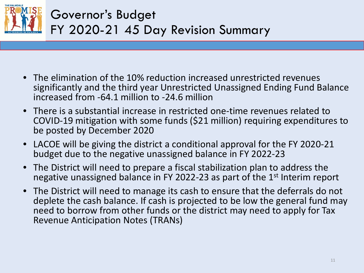

- The elimination of the 10% reduction increased unrestricted revenues significantly and the third year Unrestricted Unassigned Ending Fund Balance increased from -64.1 million to -24.6 million
- There is a substantial increase in restricted one-time revenues related to COVID-19 mitigation with some funds (\$21 million) requiring expenditures to be posted by December 2020
- LACOE will be giving the district a conditional approval for the FY 2020-21 budget due to the negative unassigned balance in FY 2022-23
- The District will need to prepare a fiscal stabilization plan to address the negative unassigned balance in FY 2022-23 as part of the 1<sup>st</sup> Interim report
- The District will need to manage its cash to ensure that the deferrals do not deplete the cash balance. If cash is projected to be low the general fund may need to borrow from other funds or the district may need to apply for Tax Revenue Anticipation Notes (TRANs)